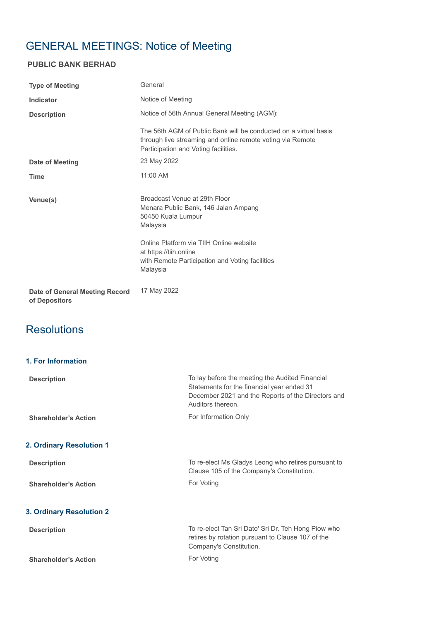# GENERAL MEETINGS: Notice of Meeting

### **PUBLIC BANK BERHAD**

| <b>Type of Meeting</b>         | General                                                                                                                                                                |
|--------------------------------|------------------------------------------------------------------------------------------------------------------------------------------------------------------------|
| Indicator                      | Notice of Meeting                                                                                                                                                      |
| <b>Description</b>             | Notice of 56th Annual General Meeting (AGM):                                                                                                                           |
|                                | The 56th AGM of Public Bank will be conducted on a virtual basis<br>through live streaming and online remote voting via Remote<br>Participation and Voting facilities. |
| Date of Meeting                | 23 May 2022                                                                                                                                                            |
| <b>Time</b>                    | 11:00 AM                                                                                                                                                               |
| Venue(s)                       | Broadcast Venue at 29th Floor<br>Menara Public Bank, 146 Jalan Ampang<br>50450 Kuala Lumpur<br>Malaysia                                                                |
|                                | Online Platform via TIIH Online website<br>at https://tiih.online<br>with Remote Participation and Voting facilities<br>Malaysia                                       |
| Date of General Meeting Record | 17 May 2022                                                                                                                                                            |

**of Depositors**

## **Resolutions**

| <b>1. For Information</b> |
|---------------------------|
|---------------------------|

| <b>Description</b>          | To lay before the meeting the Audited Financial<br>Statements for the financial year ended 31<br>December 2021 and the Reports of the Directors and<br>Auditors thereon. |
|-----------------------------|--------------------------------------------------------------------------------------------------------------------------------------------------------------------------|
| <b>Shareholder's Action</b> | For Information Only                                                                                                                                                     |
| 2. Ordinary Resolution 1    |                                                                                                                                                                          |
| <b>Description</b>          | To re-elect Ms Gladys Leong who retires pursuant to<br>Clause 105 of the Company's Constitution.                                                                         |
| <b>Shareholder's Action</b> | For Voting                                                                                                                                                               |
| 3. Ordinary Resolution 2    |                                                                                                                                                                          |
| <b>Description</b>          | To re-elect Tan Sri Dato' Sri Dr. Teh Hong Piow who<br>retires by rotation pursuant to Clause 107 of the<br>Company's Constitution.                                      |
| <b>Shareholder's Action</b> | For Voting                                                                                                                                                               |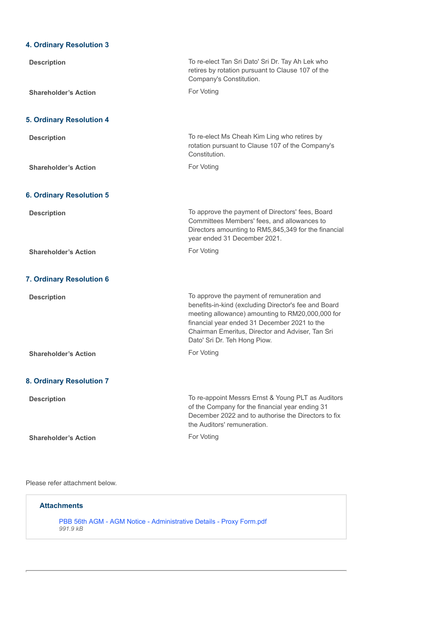#### **4. Ordinary Resolution 3**

| <b>Description</b>              | To re-elect Tan Sri Dato' Sri Dr. Tay Ah Lek who<br>retires by rotation pursuant to Clause 107 of the<br>Company's Constitution.                                                                                                                                                           |
|---------------------------------|--------------------------------------------------------------------------------------------------------------------------------------------------------------------------------------------------------------------------------------------------------------------------------------------|
| <b>Shareholder's Action</b>     | For Voting                                                                                                                                                                                                                                                                                 |
| <b>5. Ordinary Resolution 4</b> |                                                                                                                                                                                                                                                                                            |
| <b>Description</b>              | To re-elect Ms Cheah Kim Ling who retires by<br>rotation pursuant to Clause 107 of the Company's<br>Constitution.                                                                                                                                                                          |
| <b>Shareholder's Action</b>     | For Voting                                                                                                                                                                                                                                                                                 |
| <b>6. Ordinary Resolution 5</b> |                                                                                                                                                                                                                                                                                            |
| <b>Description</b>              | To approve the payment of Directors' fees, Board<br>Committees Members' fees, and allowances to<br>Directors amounting to RM5,845,349 for the financial<br>year ended 31 December 2021.                                                                                                    |
| <b>Shareholder's Action</b>     | For Voting                                                                                                                                                                                                                                                                                 |
| 7. Ordinary Resolution 6        |                                                                                                                                                                                                                                                                                            |
| <b>Description</b>              | To approve the payment of remuneration and<br>benefits-in-kind (excluding Director's fee and Board<br>meeting allowance) amounting to RM20,000,000 for<br>financial year ended 31 December 2021 to the<br>Chairman Emeritus, Director and Adviser, Tan Sri<br>Dato' Sri Dr. Teh Hong Piow. |
| <b>Shareholder's Action</b>     | For Voting                                                                                                                                                                                                                                                                                 |
| <b>8. Ordinary Resolution 7</b> |                                                                                                                                                                                                                                                                                            |
| <b>Description</b>              | To re-appoint Messrs Ernst & Young PLT as Auditors<br>of the Company for the financial year ending 31<br>December 2022 and to authorise the Directors to fix<br>the Auditors' remuneration.                                                                                                |
| <b>Shareholder's Action</b>     | For Voting                                                                                                                                                                                                                                                                                 |

#### Please refer attachment below.

| <b>Attachments</b>                                                              |  |
|---------------------------------------------------------------------------------|--|
| PBB 56th AGM - AGM Notice - Administrative Details - Proxy Form.pdf<br>991.9 kB |  |